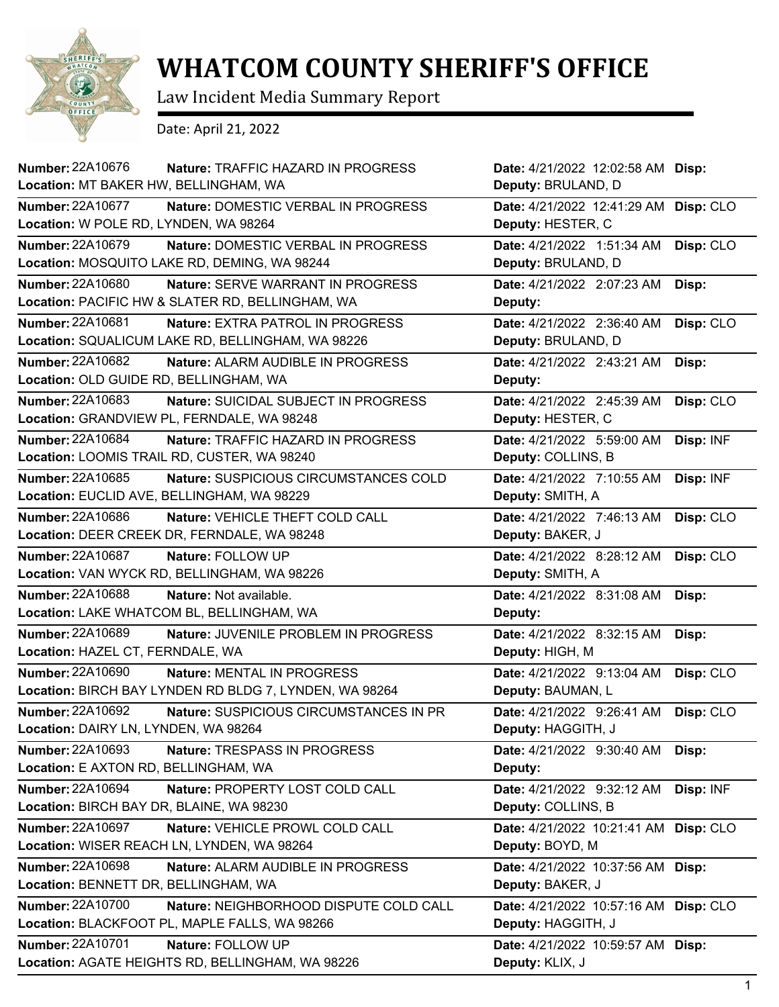

## **WHATCOM COUNTY SHERIFF'S OFFICE**

Law Incident Media Summary Report

Date: April 21, 2022

| Number: 22A10676<br>Nature: TRAFFIC HAZARD IN PROGRESS<br>Location: MT BAKER HW, BELLINGHAM, WA                         | Date: 4/21/2022 12:02:58 AM Disp:<br>Deputy: BRULAND, D |           |
|-------------------------------------------------------------------------------------------------------------------------|---------------------------------------------------------|-----------|
| <b>Number: 22A10677</b><br>Nature: DOMESTIC VERBAL IN PROGRESS<br>Location: W POLE RD, LYNDEN, WA 98264                 | Date: 4/21/2022 12:41:29 AM<br>Deputy: HESTER, C        | Disp: CLO |
| Number: 22A10679<br>Nature: DOMESTIC VERBAL IN PROGRESS<br>Location: MOSQUITO LAKE RD, DEMING, WA 98244                 | Date: 4/21/2022 1:51:34 AM<br>Deputy: BRULAND, D        | Disp: CLO |
| <b>Number: 22A10680</b><br><b>Nature: SERVE WARRANT IN PROGRESS</b><br>Location: PACIFIC HW & SLATER RD, BELLINGHAM, WA | Date: 4/21/2022 2:07:23 AM<br>Deputy:                   | Disp:     |
| Number: 22A10681<br>Nature: EXTRA PATROL IN PROGRESS<br>Location: SQUALICUM LAKE RD, BELLINGHAM, WA 98226               | Date: 4/21/2022 2:36:40 AM<br>Deputy: BRULAND, D        | Disp: CLO |
| Number: 22A10682<br>Nature: ALARM AUDIBLE IN PROGRESS<br>Location: OLD GUIDE RD, BELLINGHAM, WA                         | Date: 4/21/2022 2:43:21 AM<br>Deputy:                   | Disp:     |
| Number: 22A10683<br><b>Nature: SUICIDAL SUBJECT IN PROGRESS</b><br>Location: GRANDVIEW PL, FERNDALE, WA 98248           | Date: 4/21/2022 2:45:39 AM<br>Deputy: HESTER, C         | Disp: CLO |
| <b>Number: 22A10684</b><br>Nature: TRAFFIC HAZARD IN PROGRESS<br>Location: LOOMIS TRAIL RD, CUSTER, WA 98240            | Date: 4/21/2022 5:59:00 AM<br>Deputy: COLLINS, B        | Disp: INF |
| Number: 22A10685<br>Nature: SUSPICIOUS CIRCUMSTANCES COLD<br>Location: EUCLID AVE, BELLINGHAM, WA 98229                 | Date: 4/21/2022 7:10:55 AM<br>Deputy: SMITH, A          | Disp: INF |
| Number: 22A10686<br>Nature: VEHICLE THEFT COLD CALL<br>Location: DEER CREEK DR, FERNDALE, WA 98248                      | Date: 4/21/2022 7:46:13 AM<br>Deputy: BAKER, J          | Disp: CLO |
| <b>Number: 22A10687</b><br>Nature: FOLLOW UP<br>Location: VAN WYCK RD, BELLINGHAM, WA 98226                             | Date: 4/21/2022 8:28:12 AM<br>Deputy: SMITH, A          | Disp: CLO |
| <b>Number: 22A10688</b><br>Nature: Not available.<br>Location: LAKE WHATCOM BL, BELLINGHAM, WA                          | Date: 4/21/2022 8:31:08 AM<br>Deputy:                   | Disp:     |
| Number: 22A10689<br>Nature: JUVENILE PROBLEM IN PROGRESS<br>Location: HAZEL CT, FERNDALE, WA                            | Date: 4/21/2022 8:32:15 AM<br>Deputy: HIGH, M           | Disp:     |
| Number: 22A10690<br>Nature: MENTAL IN PROGRESS<br>Location: BIRCH BAY LYNDEN RD BLDG 7, LYNDEN, WA 98264                | Date: 4/21/2022 9:13:04 AM<br>Deputy: BAUMAN, L         | Disp: CLO |
| Number: 22A10692<br>Nature: SUSPICIOUS CIRCUMSTANCES IN PR<br>Location: DAIRY LN, LYNDEN, WA 98264                      | Date: 4/21/2022 9:26:41 AM<br>Deputy: HAGGITH, J        | Disp: CLO |
| Number: 22A10693<br>Nature: TRESPASS IN PROGRESS<br>Location: E AXTON RD, BELLINGHAM, WA                                | Date: 4/21/2022 9:30:40 AM<br>Deputy:                   | Disp:     |
| Number: 22A10694<br>Nature: PROPERTY LOST COLD CALL<br>Location: BIRCH BAY DR, BLAINE, WA 98230                         | Date: 4/21/2022 9:32:12 AM<br>Deputy: COLLINS, B        | Disp: INF |
| Number: 22A10697<br>Nature: VEHICLE PROWL COLD CALL<br>Location: WISER REACH LN, LYNDEN, WA 98264                       | Date: 4/21/2022 10:21:41 AM<br>Deputy: BOYD, M          | Disp: CLO |
| <b>Number: 22A10698</b><br>Nature: ALARM AUDIBLE IN PROGRESS<br>Location: BENNETT DR, BELLINGHAM, WA                    | Date: 4/21/2022 10:37:56 AM<br>Deputy: BAKER, J         | Disp:     |
| Number: 22A10700<br>Nature: NEIGHBORHOOD DISPUTE COLD CALL<br>Location: BLACKFOOT PL, MAPLE FALLS, WA 98266             | Date: 4/21/2022 10:57:16 AM<br>Deputy: HAGGITH, J       | Disp: CLO |
| <b>Number: 22A10701</b><br>Nature: FOLLOW UP<br>Location: AGATE HEIGHTS RD, BELLINGHAM, WA 98226                        | Date: 4/21/2022 10:59:57 AM<br>Deputy: KLIX, J          | Disp:     |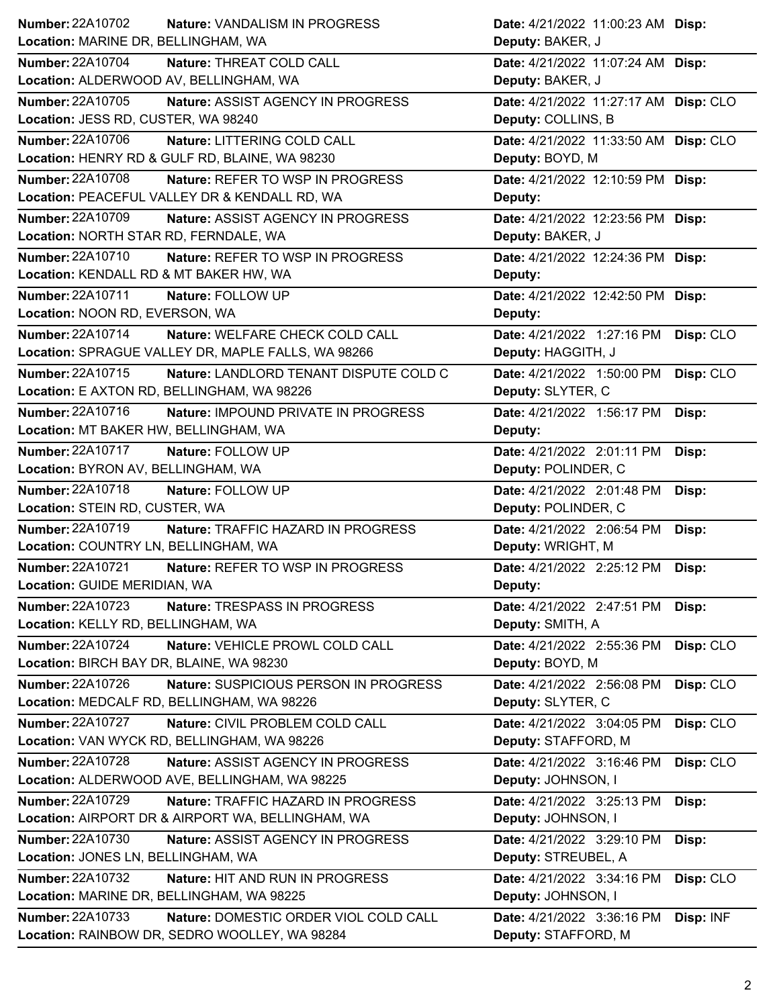| Number: 22A10702<br>Nature: VANDALISM IN PROGRESS                 | Date: 4/21/2022 11:00:23 AM Disp:       |
|-------------------------------------------------------------------|-----------------------------------------|
| Location: MARINE DR, BELLINGHAM, WA                               | Deputy: BAKER, J                        |
| <b>Number: 22A10704</b><br>Nature: THREAT COLD CALL               | Date: 4/21/2022 11:07:24 AM Disp:       |
| Location: ALDERWOOD AV, BELLINGHAM, WA                            | Deputy: BAKER, J                        |
| <b>Number: 22A10705</b><br>Nature: ASSIST AGENCY IN PROGRESS      | Date: 4/21/2022 11:27:17 AM Disp: CLO   |
| Location: JESS RD, CUSTER, WA 98240                               | Deputy: COLLINS, B                      |
| <b>Number: 22A10706</b><br>Nature: LITTERING COLD CALL            | Date: 4/21/2022 11:33:50 AM Disp: CLO   |
| Location: HENRY RD & GULF RD, BLAINE, WA 98230                    | Deputy: BOYD, M                         |
| <b>Number: 22A10708</b><br>Nature: REFER TO WSP IN PROGRESS       | Date: 4/21/2022 12:10:59 PM Disp:       |
| Location: PEACEFUL VALLEY DR & KENDALL RD, WA                     | Deputy:                                 |
| Number: 22A10709<br>Nature: ASSIST AGENCY IN PROGRESS             | Date: 4/21/2022 12:23:56 PM Disp:       |
| Location: NORTH STAR RD, FERNDALE, WA                             | Deputy: BAKER, J                        |
| Number: 22A10710<br>Nature: REFER TO WSP IN PROGRESS              | Date: 4/21/2022 12:24:36 PM Disp:       |
| Location: KENDALL RD & MT BAKER HW, WA                            | Deputy:                                 |
| Number: 22A10711<br>Nature: FOLLOW UP                             | Date: 4/21/2022 12:42:50 PM Disp:       |
| Location: NOON RD, EVERSON, WA                                    | Deputy:                                 |
| Number: 22A10714<br>Nature: WELFARE CHECK COLD CALL               | Date: 4/21/2022 1:27:16 PM<br>Disp: CLO |
| Location: SPRAGUE VALLEY DR, MAPLE FALLS, WA 98266                | Deputy: HAGGITH, J                      |
| Number: 22A10715<br>Nature: LANDLORD TENANT DISPUTE COLD C        | Disp: CLO<br>Date: 4/21/2022 1:50:00 PM |
| Location: E AXTON RD, BELLINGHAM, WA 98226                        | Deputy: SLYTER, C                       |
| Number: 22A10716<br><b>Nature: IMPOUND PRIVATE IN PROGRESS</b>    | Date: 4/21/2022 1:56:17 PM<br>Disp:     |
| Location: MT BAKER HW, BELLINGHAM, WA                             | Deputy:                                 |
| Number: 22A10717<br>Nature: FOLLOW UP                             | Date: 4/21/2022 2:01:11 PM<br>Disp:     |
| Location: BYRON AV, BELLINGHAM, WA                                | Deputy: POLINDER, C                     |
|                                                                   |                                         |
| Number: 22A10718<br>Nature: FOLLOW UP                             | Date: 4/21/2022 2:01:48 PM<br>Disp:     |
| Location: STEIN RD, CUSTER, WA                                    | Deputy: POLINDER, C                     |
| Number: 22A10719<br>Nature: TRAFFIC HAZARD IN PROGRESS            | Date: 4/21/2022 2:06:54 PM<br>Disp:     |
| Location: COUNTRY LN, BELLINGHAM, WA                              | Deputy: WRIGHT, M                       |
| <b>Number: 22A10721</b><br>Nature: REFER TO WSP IN PROGRESS       | Date: 4/21/2022 2:25:12 PM<br>Disp:     |
| Location: GUIDE MERIDIAN, WA                                      | <b>Deputy:</b>                          |
| Number: 22A10723<br>Nature: TRESPASS IN PROGRESS                  | Date: 4/21/2022 2:47:51 PM<br>Disp:     |
| Location: KELLY RD, BELLINGHAM, WA                                | Deputy: SMITH, A                        |
| Number: 22A10724<br>Nature: VEHICLE PROWL COLD CALL               | Date: 4/21/2022 2:55:36 PM<br>Disp: CLO |
| Location: BIRCH BAY DR, BLAINE, WA 98230                          | Deputy: BOYD, M                         |
| Number: 22A10726<br>Nature: SUSPICIOUS PERSON IN PROGRESS         | Date: 4/21/2022 2:56:08 PM<br>Disp: CLO |
| Location: MEDCALF RD, BELLINGHAM, WA 98226                        | Deputy: SLYTER, C                       |
| <b>Number: 22A10727</b><br>Nature: CIVIL PROBLEM COLD CALL        | Date: 4/21/2022 3:04:05 PM<br>Disp: CLO |
| Location: VAN WYCK RD, BELLINGHAM, WA 98226                       | Deputy: STAFFORD, M                     |
| Number: 22A10728<br>Nature: ASSIST AGENCY IN PROGRESS             | Date: 4/21/2022 3:16:46 PM<br>Disp: CLO |
| Location: ALDERWOOD AVE, BELLINGHAM, WA 98225                     | Deputy: JOHNSON, I                      |
| Number: 22A10729<br>Nature: TRAFFIC HAZARD IN PROGRESS            | Date: 4/21/2022 3:25:13 PM<br>Disp:     |
| Location: AIRPORT DR & AIRPORT WA, BELLINGHAM, WA                 | Deputy: JOHNSON, I                      |
| <b>Number: 22A10730</b><br>Nature: ASSIST AGENCY IN PROGRESS      | Date: 4/21/2022 3:29:10 PM<br>Disp:     |
| Location: JONES LN, BELLINGHAM, WA                                | Deputy: STREUBEL, A                     |
| <b>Number: 22A10732</b><br><b>Nature: HIT AND RUN IN PROGRESS</b> | Date: 4/21/2022 3:34:16 PM              |
| Location: MARINE DR, BELLINGHAM, WA 98225                         | Disp: CLO<br>Deputy: JOHNSON, I         |
| <b>Number: 22A10733</b><br>Nature: DOMESTIC ORDER VIOL COLD CALL  | Date: 4/21/2022 3:36:16 PM<br>Disp: INF |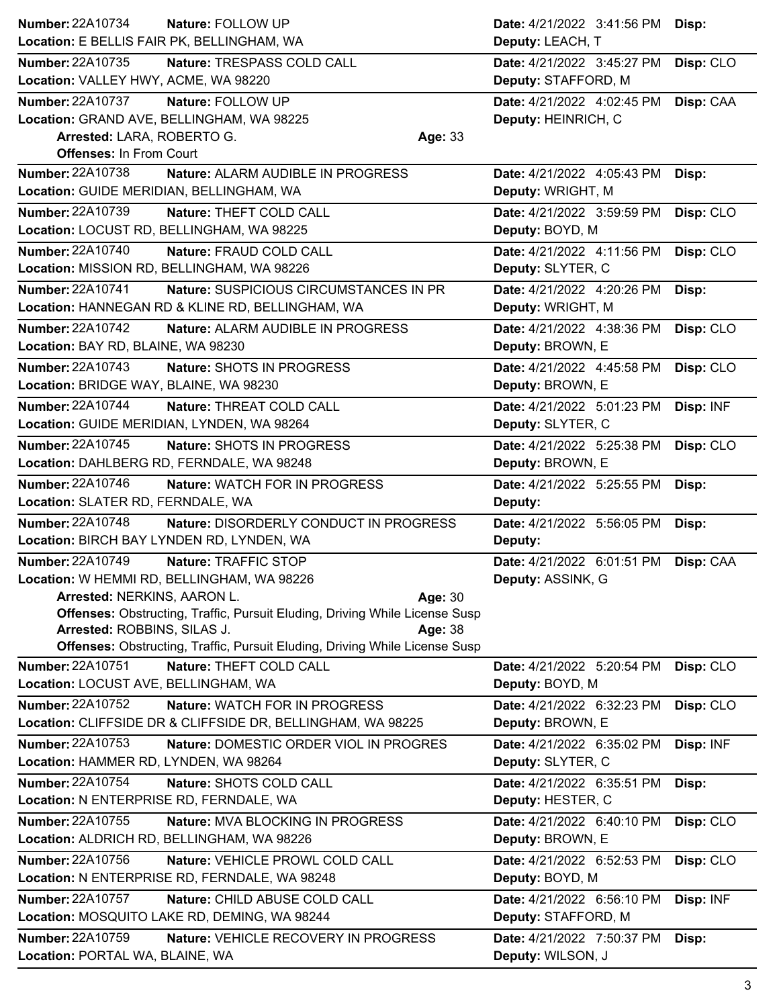| Number: 22A10734<br>Nature: FOLLOW UP                                                       | Date: 4/21/2022 3:41:56 PM                      | Disp:     |
|---------------------------------------------------------------------------------------------|-------------------------------------------------|-----------|
| Location: E BELLIS FAIR PK, BELLINGHAM, WA                                                  | Deputy: LEACH, T                                |           |
| <b>Number: 22A10735</b><br>Nature: TRESPASS COLD CALL                                       | Date: 4/21/2022 3:45:27 PM                      | Disp: CLO |
| Location: VALLEY HWY, ACME, WA 98220                                                        | Deputy: STAFFORD, M                             |           |
| <b>Number: 22A10737</b><br>Nature: FOLLOW UP                                                | Date: 4/21/2022  4:02:45 PM  Disp: CAA          |           |
| Location: GRAND AVE, BELLINGHAM, WA 98225                                                   | Deputy: HEINRICH, C                             |           |
| Arrested: LARA, ROBERTO G.<br>Age: 33                                                       |                                                 |           |
| <b>Offenses: In From Court</b>                                                              |                                                 |           |
| Number: 22A10738<br>Nature: ALARM AUDIBLE IN PROGRESS                                       | Date: 4/21/2022 4:05:43 PM                      | Disp:     |
| Location: GUIDE MERIDIAN, BELLINGHAM, WA                                                    | Deputy: WRIGHT, M                               |           |
| <b>Number: 22A10739</b><br>Nature: THEFT COLD CALL                                          | Date: 4/21/2022 3:59:59 PM                      | Disp: CLO |
| Location: LOCUST RD, BELLINGHAM, WA 98225                                                   | Deputy: BOYD, M                                 |           |
| Number: 22A10740<br>Nature: FRAUD COLD CALL                                                 | Date: 4/21/2022 4:11:56 PM                      | Disp: CLO |
| Location: MISSION RD, BELLINGHAM, WA 98226                                                  | Deputy: SLYTER, C                               |           |
| <b>Number: 22A10741</b><br><b>Nature: SUSPICIOUS CIRCUMSTANCES IN PR</b>                    | Date: 4/21/2022 4:20:26 PM                      | Disp:     |
| Location: HANNEGAN RD & KLINE RD, BELLINGHAM, WA                                            | Deputy: WRIGHT, M                               |           |
| <b>Number: 22A10742</b><br>Nature: ALARM AUDIBLE IN PROGRESS                                | Date: 4/21/2022 4:38:36 PM                      | Disp: CLO |
| Location: BAY RD, BLAINE, WA 98230                                                          | Deputy: BROWN, E                                |           |
| Number: 22A10743<br>Nature: SHOTS IN PROGRESS                                               | Date: 4/21/2022 4:45:58 PM                      | Disp: CLO |
| Location: BRIDGE WAY, BLAINE, WA 98230                                                      | Deputy: BROWN, E                                |           |
| <b>Number: 22A10744</b><br>Nature: THREAT COLD CALL                                         | Date: 4/21/2022 5:01:23 PM                      | Disp: INF |
| Location: GUIDE MERIDIAN, LYNDEN, WA 98264                                                  | Deputy: SLYTER, C                               |           |
| Number: 22A10745<br>Nature: SHOTS IN PROGRESS                                               | Date: 4/21/2022 5:25:38 PM                      | Disp: CLO |
| Location: DAHLBERG RD, FERNDALE, WA 98248                                                   | Deputy: BROWN, E                                |           |
| Number: 22A10746<br><b>Nature: WATCH FOR IN PROGRESS</b>                                    | Date: 4/21/2022 5:25:55 PM                      | Disp:     |
| Location: SLATER RD, FERNDALE, WA                                                           | Deputy:                                         |           |
|                                                                                             |                                                 |           |
| Number: 22A10748<br>Nature: DISORDERLY CONDUCT IN PROGRESS                                  | Date: 4/21/2022 5:56:05 PM                      | Disp:     |
| Location: BIRCH BAY LYNDEN RD, LYNDEN, WA                                                   | Deputy:                                         |           |
| Number: 22A10749<br>Nature: TRAFFIC STOP                                                    | Date: 4/21/2022 6:01:51 PM                      | Disp: CAA |
| Location: W HEMMI RD, BELLINGHAM, WA 98226                                                  | Deputy: ASSINK, G                               |           |
| Arrested: NERKINS, AARON L.<br>Age: 30                                                      |                                                 |           |
| <b>Offenses:</b> Obstructing, Traffic, Pursuit Eluding, Driving While License Susp          |                                                 |           |
| Arrested: ROBBINS, SILAS J.<br>Age: 38                                                      |                                                 |           |
| <b>Offenses: Obstructing, Traffic, Pursuit Eluding, Driving While License Susp</b>          |                                                 |           |
| <b>Number: 22A10751</b><br>Nature: THEFT COLD CALL                                          | Date: 4/21/2022 5:20:54 PM Disp: CLO            |           |
| Location: LOCUST AVE, BELLINGHAM, WA                                                        | Deputy: BOYD, M                                 |           |
| Number: 22A10752<br>Nature: WATCH FOR IN PROGRESS                                           | Date: 4/21/2022 6:32:23 PM                      | Disp: CLO |
| Location: CLIFFSIDE DR & CLIFFSIDE DR, BELLINGHAM, WA 98225                                 | Deputy: BROWN, E                                |           |
| Number: 22A10753<br>Nature: DOMESTIC ORDER VIOL IN PROGRES                                  | Date: 4/21/2022 6:35:02 PM                      | Disp: INF |
| Location: HAMMER RD, LYNDEN, WA 98264                                                       | Deputy: SLYTER, C                               |           |
| Number: 22A10754<br>Nature: SHOTS COLD CALL                                                 | Date: 4/21/2022 6:35:51 PM                      | Disp:     |
| Location: N ENTERPRISE RD, FERNDALE, WA                                                     | Deputy: HESTER, C                               |           |
| Number: 22A10755<br>Nature: MVA BLOCKING IN PROGRESS                                        | Date: 4/21/2022 6:40:10 PM                      | Disp: CLO |
| Location: ALDRICH RD, BELLINGHAM, WA 98226                                                  | Deputy: BROWN, E                                |           |
| Number: 22A10756<br>Nature: VEHICLE PROWL COLD CALL                                         | Date: 4/21/2022 6:52:53 PM                      | Disp: CLO |
| Location: N ENTERPRISE RD, FERNDALE, WA 98248                                               | Deputy: BOYD, M                                 |           |
| Number: 22A10757<br>Nature: CHILD ABUSE COLD CALL                                           | Date: 4/21/2022 6:56:10 PM                      | Disp: INF |
| Location: MOSQUITO LAKE RD, DEMING, WA 98244                                                | Deputy: STAFFORD, M                             |           |
| Number: 22A10759<br>Nature: VEHICLE RECOVERY IN PROGRESS<br>Location: PORTAL WA, BLAINE, WA | Date: 4/21/2022 7:50:37 PM<br>Deputy: WILSON, J | Disp:     |